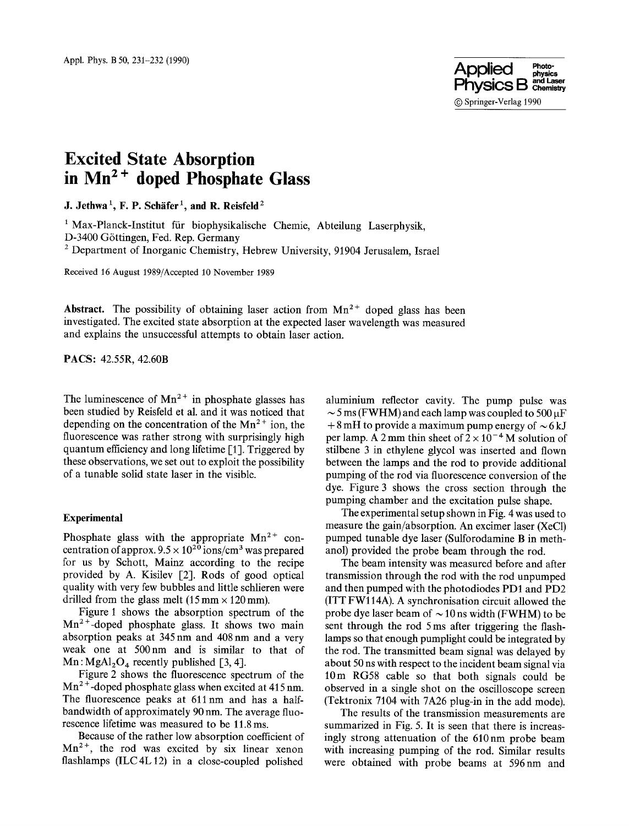

## **Excited State Absorption**  in Mn<sup>2+</sup> doped Phosphate Glass

**J. Jethwa <sup>1</sup>, F. P. Schäfer <sup>1</sup>, and R. Reisfeld <sup>2</sup>** 

<sup>1</sup> Max-Planck-Institut für biophysikalische Chemie, Abteilung Laserphysik, D-3400 G6ttingen, Fed. Rep. Germany 2 Department of Inorganic Chemistry, Hebrew University, 91904 Jerusalem, Israel

Received 16 August 1989/Accepted 10 November 1989

**Abstract.** The possibility of obtaining laser action from  $Mn^{2+}$  doped glass has been investigated. The excited state absorption at the expected laser wavelength was measured and explains the unsuccessful attempts to obtain laser action.

**PACS:** 42.55R, 42.60B

The luminescence of  $Mn^{2+}$  in phosphate glasses has been studied by Reisfeld et al. and it was noticed that depending on the concentration of the  $Mn^{2+}$  ion, the fluorescence was rather strong with surprisingly high quantum efficiency and long lifetime [1]. Triggered by these observations, we set out to exploit the possibility of a tunable solid state laser in the visible.

## **Experimental**

Phosphate glass with the appropriate  $Mn^{2+}$  concentration of approx.  $9.5 \times 10^{20}$  ions/cm<sup>3</sup> was prepared for us by Schott, Mainz according to the recipe provided by A. Kisilev [2]. Rods of good optical quality with very few bubbles and little schlieren were drilled from the glass melt  $(15 \text{ mm} \times 120 \text{ mm})$ .

Figure 1 shows the absorption spectrum of the  $Mn^{2+}$ -doped phosphate glass. It shows two main absorption peaks at 345 nm and 408 nm and a very weak one at 500nm and is similar to that of  $Mn: MgAl<sub>2</sub>O<sub>4</sub> recently published [3, 4].$ 

Figure 2 shows the fluorescence spectrum of the  $Mn^{2+}$ -doped phosphate glass when excited at 415 nm. The fluorescence peaks at 611 nm and has a halfbandwidth of approximately 90 nm. The average fluorescence lifetime was measured to be 11.8 ms.

Because of the rather low absorption coefficient of  $Mn^{2+}$ , the rod was excited by six linear xenon flashlamps (ILC4L12) in a close-coupled polished

aluminium reflector cavity. The pump pulse was  $\sim$  5 ms (FWHM) and each lamp was coupled to 500  $\mu$ F  $+ 8$  mH to provide a maximum pump energy of  $\sim 6$  kJ per lamp. A 2 mm thin sheet of  $2 \times 10^{-4}$  M solution of stilbene 3 in ethylene glycol was inserted and flown between the lamps and the rod to provide additional pumping of the rod via fluorescence conversion of the dye. Figure 3 shows the cross section through the pumping chamber and the excitation pulse shape.

The experimental setup shown in Fig. 4 was used to measure the gain/absorption. An excimer laser (XeC1) pumped tunable dye laser (Sulforodamine B in methanol) provided the probe beam through the rod.

The beam intensity was measured before and after transmission through the rod with the rod unpumped and then pumped with the photodiodes PDI and PD2 (ITT FWI 14A). A synchronisation circuit allowed the probe dye laser beam of  $\sim$  10 ns width (FWHM) to be sent through the rod 5 ms after triggering the flashlamps so that enough pumplight could be integrated by the rod. The transmitted beam signal was delayed by about 50 ns with respect to the incident beam signal via 10m RG58 cable so that both signals could be observed in a single shot on the oscilloscope screen (Tektronix 7104 with 7A26 plug-in in the add mode).

The results of the transmission measurements are summarized in Fig. 5. It is seen that there is increasingly strong attenuation of the 610 nm probe beam with increasing pumping of the rod. Similar results were obtained with probe beams at 596nm and